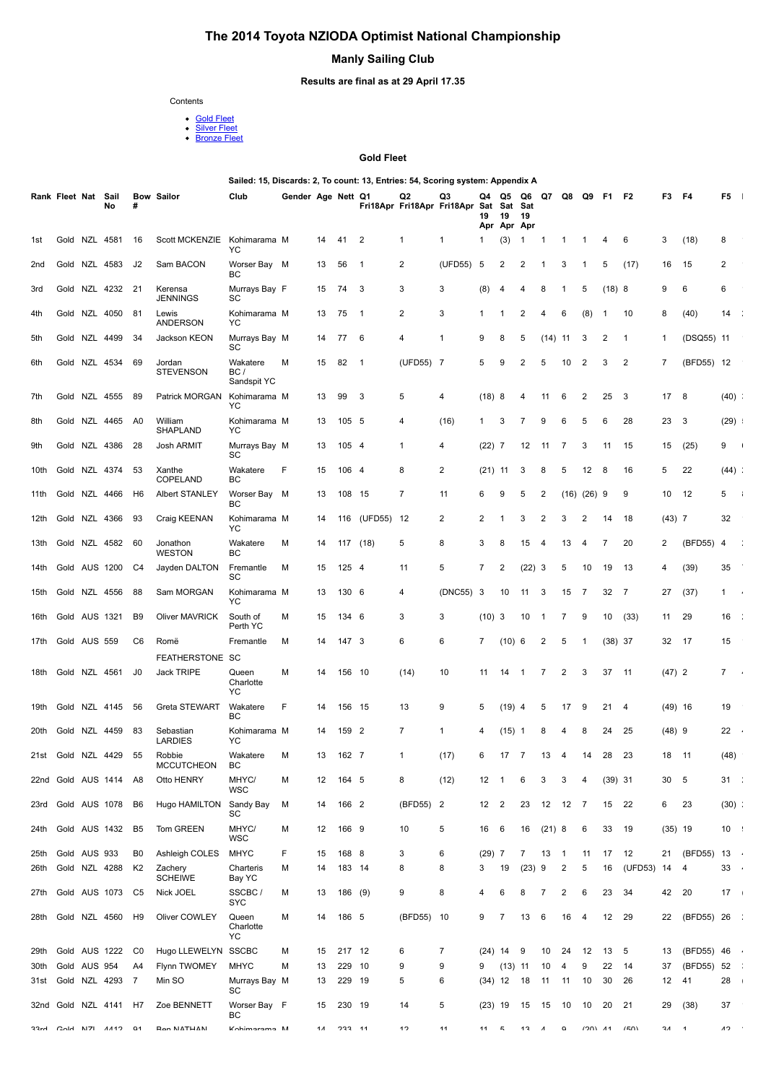# **The 2014 Toyota NZIODA Optimist National Championship**

## **Manly Sailing Club**

### **Results are final as at 29 April 17.35**

Contents

- 
- Gold Flee<u>t</u><br>[Silver Fleet](file:///C:/Users/Clare/AppData/Local/Temp/blwE08E.htm#summarysilver)<br>[Bronze Fleet](file:///C:/Users/Clare/AppData/Local/Temp/blwE08E.htm#summarybronze)

#### **Gold Fleet**

**Sailed: 15, Discards: 2, To count: 13, Entries: 54, Scoring system: Appendix A**

|                 | Rank Fleet Nat Sail |               | No                    | #                    | <b>Bow Sailor</b>                    | Club                            | Gender Age Nett Q1 |          |                  |                | Q2<br>Fri18Apr Fri18Apr Fri18Apr Sat | Q3             | Q4<br>19        | Q5<br>Sat<br>19<br>Apr Apr Apr | Q6<br>Sat<br>19 | Q7           | Q8             | Q9             | F1        | F <sub>2</sub> | F3           | F4               | F5                   |
|-----------------|---------------------|---------------|-----------------------|----------------------|--------------------------------------|---------------------------------|--------------------|----------|------------------|----------------|--------------------------------------|----------------|-----------------|--------------------------------|-----------------|--------------|----------------|----------------|-----------|----------------|--------------|------------------|----------------------|
| 1st             |                     | Gold NZL 4581 |                       | 16                   | Scott MCKENZIE                       | Kohimarama M<br>YC              |                    | 14       | 41               | $\overline{2}$ | 1                                    | 1              | -1              | (3)                            | $\mathbf{1}$    | $\mathbf{1}$ | 1              | $\mathbf{1}$   | 4         | 6              | 3            | (18)             | 8                    |
| 2 <sub>nd</sub> |                     |               | Gold NZL 4583         | J2                   | Sam BACON                            | Worser Bay M<br>BС              |                    | 13       | 56               | $\mathbf{1}$   | 2                                    | (UFD55)        | 5               | 2                              | 2               | -1           | 3              | -1             | 5         | (17)           | 16           | 15               | 2                    |
| 3rd             |                     |               | Gold NZL 4232 21      |                      | Kerensa<br><b>JENNINGS</b>           | Murrays Bay F<br>SC             |                    | 15       | 74               | 3              | 3                                    | 3              | (8)             | 4                              | 4               | 8            | -1             | 5              | (18)8     |                | 9            | 6                | 6                    |
| 4th             |                     |               | Gold NZL 4050         | 81                   | Lewis<br>ANDERSON                    | Kohimarama M<br>YC              |                    | 13       | 75               | $\mathbf{1}$   | $\overline{2}$                       | 3              | -1              | 1                              | 2               | 4            | 6              | (8)            | -1        | 10             | 8            | (40)             | 14                   |
| 5th             |                     |               | Gold NZL 4499         | 34                   | Jackson KEON                         | Murrays Bay M<br>SC             |                    | 14       | 77               | 6              | 4                                    | 1              | 9               | 8                              | 5               | $(14)$ 11    |                | 3              | 2         | -1             | 1            | (DSQ55) 11       |                      |
| 6th             |                     |               | Gold NZL 4534         | 69                   | Jordan<br><b>STEVENSON</b>           | Wakatere<br>BC /<br>Sandspit YC | М                  | 15       | 82               | -1             | (UFD55) 7                            |                | 5               | 9                              | 2               | 5            | 10             | 2              | 3         | $\overline{2}$ | 7            | (BFD55) 12       |                      |
| 7th             |                     |               | Gold NZL 4555         | 89                   | Patrick MORGAN                       | Kohimarama M<br>YC              |                    | 13       | 99               | 3              | 5                                    | 4              | (18)8           |                                | 4               | 11           | 6              | $\overline{2}$ | 25        | 3              | 17           | 8                | $(40)$ :             |
| 8th             |                     |               | Gold NZL 4465         | A <sub>0</sub>       | William<br>SHAPLAND                  | Kohimarama M<br>YC              |                    | 13       | 105 5            |                | 4                                    | (16)           | 1               | 3                              | 7               | 9            | 6              | 5              | 6         | 28             | 23           | 3                | (29)                 |
| 9th             |                     |               | Gold NZL 4386         | 28                   | Josh ARMIT                           | Murrays Bay M<br>SC             |                    | 13       | 105 4            |                | 1                                    | 4              | $(22)$ 7        |                                | 12              | -11          | -7             | 3              | 11        | 15             | 15           | (25)             | 9                    |
| 10th            |                     |               | Gold NZL 4374         | 53                   | Xanthe<br>COPELAND                   | Wakatere<br>BC                  | F                  | 15       | 106 4            |                | 8                                    | $\overline{2}$ | $(21)$ 11       |                                | 3               | 8            | 5              | 12             | 8         | 16             | 5            | 22               | $(44)$ :             |
| 11th            |                     | Gold NZL 4466 |                       | H <sub>6</sub>       | Albert STANLEY                       | Worser Bay M<br>BС              |                    | 13       | 108 15           |                | 7                                    | 11             | 6               | 9                              | 5               | 2            | (16)           | $(26)$ 9       |           | 9              | 10           | 12               | 5                    |
| 12th            |                     |               | Gold NZL 4366         | 93                   | Craig KEENAN                         | Kohimarama M<br>YC              |                    | 14       | 116              | (UFD55) 12     |                                      | 2              | 2               | 1                              | 3               | 2            | 3              | 2              | 14        | 18             | $(43)$ 7     |                  | 32                   |
| 13th            |                     |               | Gold NZL 4582         | 60                   | Jonathon<br><b>WESTON</b>            | Wakatere<br>BC                  | M                  | 14       | 117              | (18)           | 5                                    | 8              | 3               | 8                              | 15              | 4            | 13             | 4              | 7         | 20             | 2            | (BFD55)          | $\overline{4}$       |
| 14th            |                     |               | Gold AUS 1200         | C4                   | Jayden DALTON                        | Fremantle<br>SC                 | M                  | 15       | 125 4            |                | 11                                   | 5              | 7               | 2                              | $(22)$ 3        |              | 5              | 10             | 19        | 13             | 4            | (39)             | 35                   |
| 15th            |                     |               | Gold NZL 4556         | 88                   | Sam MORGAN                           | Kohimarama M<br>YC              |                    | 13       | 130 6            |                | 4                                    | (DNC55) 3      |                 | 10                             | 11              | 3            | 15             | 7              | 32        | $\overline{7}$ | 27           | (37)             | 1                    |
| 16th            |                     | Gold AUS 1321 |                       | B <sub>9</sub>       | <b>Oliver MAVRICK</b>                | South of<br>Perth YC            | M                  | 15       | 134 6            |                | 3                                    | 3              | $(10)$ 3        |                                | 10              | $\mathbf{1}$ | 7              | 9              | 10        | (33)           | 11           | 29               | 16<br>- 1            |
| 17th            | Gold AUS 559        |               |                       | C <sub>6</sub>       | Romë                                 | Fremantle                       | M                  | 14       | 147 3            |                | 6                                    | 6              | 7               | (10) 6                         |                 | 2            | 5              | $\mathbf 1$    | $(38)$ 37 |                | 32           | - 17             | 15                   |
| 18th            | Gold NZL 4561       |               |                       | J0                   | FEATHERSTONE SC<br><b>Jack TRIPE</b> | Queen<br>Charlotte<br>YC        | M                  | 14       | 156 10           |                | (14)                                 | 10             | 11              | 14                             | $\mathbf{1}$    | 7            | 2              | 3              | 37        | 11             | $(47)$ 2     |                  | $\overline{7}$       |
| 19th            |                     |               | Gold NZL 4145         | 56                   | Greta STEWART                        | Wakatere<br>BC                  | F                  | 14       | 156 15           |                | 13                                   | 9              | 5               | $(19)$ 4                       |                 | 5            | 17             | 9              | 21        | 4              | $(49)$ 16    |                  | 19                   |
| 20th            |                     |               | Gold NZL 4459         | 83                   | Sebastian<br>LARDIES                 | Kohimarama M<br>YC              |                    | 14       | 159 2            |                | 7                                    | 1              | 4               | $(15)$ 1                       |                 | 8            | 4              | 8              | 24        | 25             | $(48)$ 9     |                  | 22                   |
| 21st            |                     |               | Gold NZL 4429         | 55                   | Robbie<br>MCCUTCHEON                 | Wakatere<br>BC                  | M                  | 13       | 162 7            |                | 1                                    | (17)           | 6               | 17                             | -7              | 13           | 4              | 14             | 28        | 23             | 18           | 11               | (48)                 |
|                 |                     |               | 22nd Gold AUS 1414 A8 |                      | Otto HENRY                           | MHYC/<br>WSC                    | M                  | 12       | 164 5            |                | 8                                    | (12)           | 12              | $\overline{1}$                 | 6               | 3            | 3              | 4              | $(39)$ 31 |                | 30           | 5                | 31<br>- 1            |
| 23rd            |                     |               | Gold AUS 1078         | B <sub>6</sub>       | Hugo HAMILTON                        | Sandy Bay<br>SC                 | M                  | 14       | 166 2            |                | (BFD55) 2                            |                | 12 <sup>2</sup> |                                | 23              | 12           | 12             | 7              | 15        | 22             | 6            | 23               | $(30)$ :             |
| 24th            |                     |               | Gold AUS 1432         | B <sub>5</sub>       | Tom GREEN                            | MHYC/<br>WSC                    | M                  | 12       | 166 9            |                | 10                                   | 5              | 16 6            |                                | 16              | $(21)$ 8     |                | 6              | 33        | 19             | $(35)$ 19    |                  | $10$ :               |
| 25th            |                     | Gold AUS 933  |                       | B <sub>0</sub>       | Ashleigh COLES                       | <b>MHYC</b>                     | F                  | 15       | 168 8            |                | 3                                    | 6              | $(29)$ 7        |                                | 7               | 13           | $\overline{1}$ | 11             | 17        | 12             | 21           | (BFD55) 13       |                      |
| 26th            |                     |               | Gold NZL 4288         | K <sub>2</sub>       | Zachery<br><b>SCHEIWE</b>            | Charteris<br>Bay YC             | M                  | 14       | 183 14           |                | 8                                    | 8              | 3               | 19                             | (23)            | 9            | 2              | 5              | 16        | (UFD53) 14     |              | 4                | 33<br>$\sim$ 14      |
| 27th            |                     |               | Gold AUS 1073         | C5                   | Nick JOEL                            | SSCBC /<br>SYC                  | М                  | 13       | 186 (9)          |                | 9                                    | 8              | 4               | 6                              | 8               | 7            | 2              | 6              | 23        | 34             | 42           | 20               | $17 \quad$           |
| 28th            |                     |               | Gold NZL 4560         | H <sub>9</sub>       | Oliver COWLEY                        | Queen<br>Charlotte<br>YC        | M                  | 14       | 186 5            |                | (BFD55) 10                           |                | 9               | 7                              | 13              | 6            | 16             | 4              | 12        | 29             | 22           | (BFD55) 26       | - 11                 |
| 29th            |                     |               | Gold AUS 1222         | C0                   | Hugo LLEWELYN                        | <b>SSCBC</b>                    | M                  | 15       | 217 12           |                | 6                                    | 7              | $(24)$ 14       |                                | - 9             | 10           | 24             | 12             | 13        | 5              | 13           | (BFD55) 46       | $\sim$ $\,$          |
| 30th<br>31st    |                     | Gold AUS 954  | Gold NZL 4293         | A4<br>$\overline{7}$ | Flynn TWOMEY<br>Min SO               | <b>MHYC</b><br>Murrays Bay M    | M                  | 13<br>13 | 229 10<br>229 19 |                | 9<br>5                               | 9<br>6         | 9<br>$(34)$ 12  | $(13)$ 11                      | 18              | 10<br>11     | 4<br>11        | 9<br>10        | 22<br>30  | 14<br>26       | 37<br>12     | (BFD55) 52<br>41 | - 11<br>28<br>$\sim$ |
|                 | 32nd Gold NZL 4141  |               |                       | H7                   | Zoe BENNETT                          | SC<br>Worser Bay F              |                    | 15       | 230 19           |                | 14                                   | 5              | $(23)$ 19       |                                | 15              | 15           | - 10           | 10             | 20        | 21             | 29           | (38)             | 37                   |
| <b>JJ-4</b>     |                     |               | CAM N71 4412 01       |                      | Ron NATHAN                           | BC<br>Kohimarama M              |                    | 11       | $233 - 11$       |                | 12                                   | 11             | $11 \quad 5$    |                                | $12 \tA$        |              | $\alpha$       | $1201$ $11$    |           | (50)           | $21 \quad 1$ |                  | $\Lambda$ 2 $\sim$   |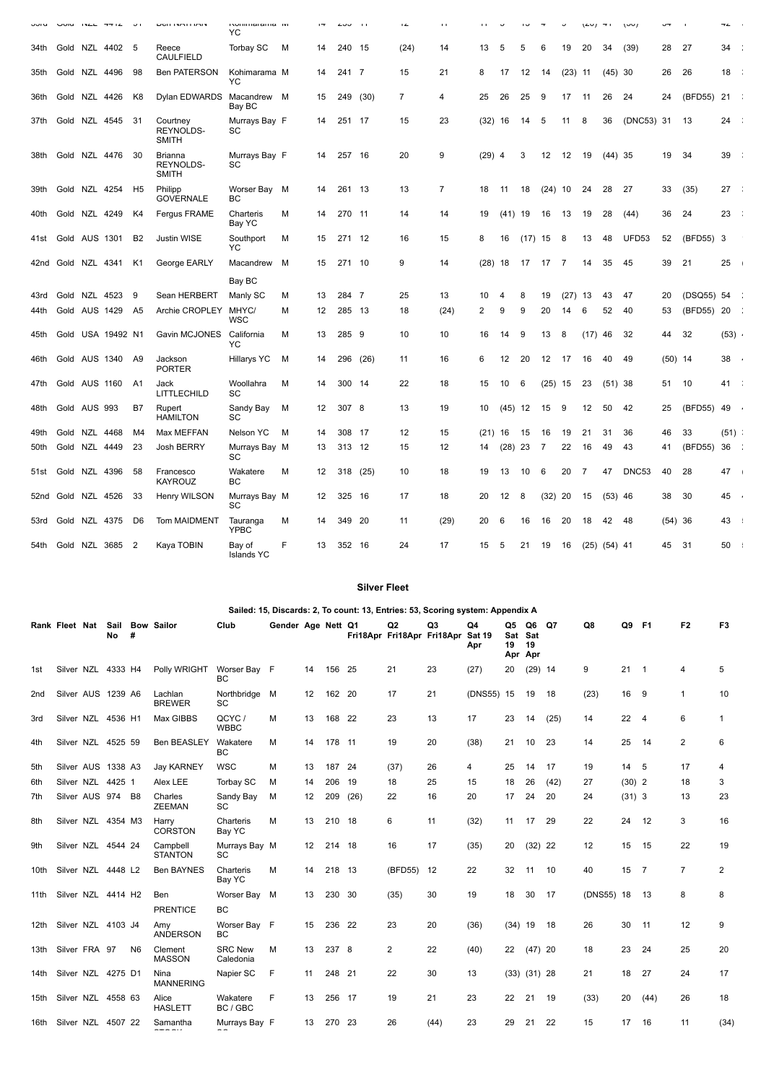| <b>UUIU</b> |               | UUIU INCL TTIE UI |                | <b>DOITIVATION</b>                           | indiminatama ivi<br>YC      |   | $\mathbf{r}$      | ں نے   | $\mathbf{H}$ | $\overline{1}$ | $\mathbf{L}$   | . .      |           | ں ا       |           |                | (40)             | $\mathbf{u}$ | 1001         | ∽∼        |            | T4       | $\sim$ |
|-------------|---------------|-------------------|----------------|----------------------------------------------|-----------------------------|---|-------------------|--------|--------------|----------------|----------------|----------|-----------|-----------|-----------|----------------|------------------|--------------|--------------|-----------|------------|----------|--------|
| 34th        |               | Gold NZL 4402 5   |                | Reece<br><b>CAULFIELD</b>                    | Torbay SC                   | м | 14                | 240    | - 15         | (24)           | 14             | 13       | 5         | 5         | 6         | 19             | 20               | 34           | (39)         | 28        | 27         | 34       |        |
| 35th        | Gold NZL 4496 |                   | -98            | <b>Ben PATERSON</b>                          | Kohimarama M<br>YC          |   | 14                | 241 7  |              | 15             | 21             | 8        | 17        | 12        | 14        | $(23)$ 11      |                  | $(45)$ 30    |              | 26        | 26         | 18       |        |
| 36th        | Gold NZL 4426 |                   | K8             | Dylan EDWARDS                                | Macandrew M<br>Bay BC       |   | 15                | 249    | (30)         | $\overline{7}$ | 4              | 25       | 26        | 25        | 9         | 17             | -11              | 26           | 24           | 24        | (BFD55)    | 21       |        |
| 37th        |               | Gold NZL 4545     | - 31           | Courtney<br><b>REYNOLDS-</b><br><b>SMITH</b> | Murrays Bay F<br>SC         |   | 14                | 251 17 |              | 15             | 23             | (32)     | 16        | 14        | 5         | 11             | 8                | 36           | (DNC53) 31   |           | - 13       | 24       |        |
| 38th        | Gold NZL 4476 |                   | -30            | Brianna<br><b>REYNOLDS-</b><br><b>SMITH</b>  | Murrays Bay F<br>SC         |   | 14                | 257 16 |              | 20             | 9              | $(29)$ 4 |           | 3         | 12        | 12             | 19               | $(44)$ 35    |              | 19        | 34         | 39       |        |
| 39th        |               | Gold NZL 4254 H5  |                | Philipp<br><b>GOVERNALE</b>                  | Worser Bay M<br>BC          |   | 14                | 261 13 |              | 13             | $\overline{7}$ | 18       | 11        | 18        | $(24)$ 10 |                | 24               | 28           | 27           | 33        | (35)       | 27       |        |
| 40th        | Gold NZL 4249 |                   | K4             | Fergus FRAME                                 | Charteris<br>Bay YC         | M | 14                | 270 11 |              | 14             | 14             | 19       | $(41)$ 19 |           | 16        | 13             | 19               | 28           | (44)         | 36        | 24         | 23       |        |
| 41st        | Gold AUS 1301 |                   | B <sub>2</sub> | Justin WISE                                  | Southport<br>YC             | М | 15                | 271 12 |              | 16             | 15             | 8        | 16        | $(17)$ 15 |           | 8              | 13               | 48           | <b>UFD53</b> | 52        | (BFD55) 3  |          |        |
| 42nd        | Gold NZL 4341 |                   | K1             | George EARLY                                 | Macandrew                   | м | 15                | 271 10 |              | 9              | 14             | (28)     | 18        | 17        | 17        | $\overline{7}$ | 14               | 35           | 45           | 39        | 21         | $25 -$   |        |
|             |               |                   |                |                                              | Bay BC                      |   |                   |        |              |                |                |          |           |           |           |                |                  |              |              |           |            |          |        |
| 43rd        | Gold NZL 4523 |                   | - 9            | Sean HERBERT                                 | Manly SC                    | м | 13                | 284 7  |              | 25             | 13             | 10       | 4         | 8         | 19        | (27)           | -13              | 43           | 47           | 20        | (DSQ55) 54 |          |        |
| 44th        | Gold AUS 1429 |                   | - A5           | Archie CROPLEY                               | MHYC/<br>WSC                | М | 12                | 285 13 |              | 18             | (24)           | 2        | 9         | 9         | 20        | 14             | 6                | 52           | 40           | 53        | (BFD55) 20 |          |        |
| 45th        | Gold          | USA 19492 N1      |                | Gavin MCJONES                                | California<br>YC            | М | 13                | 285    | - 9          | 10             | 10             | 16       | 14        | 9         | 13        | 8              | (17)             | 46           | -32          | 44        | 32         | $(53)$ . |        |
| 46th        |               | Gold AUS 1340 A9  |                | Jackson<br><b>PORTER</b>                     | Hillarys YC                 | М | 14                | 296    | (26)         | 11             | 16             | 6        | 12        | 20        | 12        | -17            | 16               | 40           | 49           | $(50)$ 14 |            | 38       |        |
| 47th        | Gold AUS 1160 |                   | A1             | Jack<br>LITTLECHILD                          | Woollahra<br>SC             | м | 14                | 300 14 |              | 22             | 18             | 15       | 10        | 6         | (25)      | 15             | 23               | $(51)$ 38    |              | 51        | 10         | 41       |        |
| 48th        | Gold AUS 993  |                   | B7             | Rupert<br><b>HAMILTON</b>                    | Sandy Bay<br><b>SC</b>      | M | 12                | 307    | - 8          | 13             | 19             | 10       | (45)      | 12        | 15        | 9              | 12               | 50           | 42           | 25        | (BFD55)    | 49 .     |        |
| 49th        | Gold NZL 4468 |                   | M4             | Max MEFFAN                                   | Nelson YC                   | м | 14                | 308 17 |              | 12             | 15             | (21)     | 16        | 15        | 16        | 19             | 21               | 31           | 36           | 46        | 33         | (51)     |        |
| 50th        | Gold NZL 4449 |                   | 23             | Josh BERRY                                   | Murrays Bay M<br><b>SC</b>  |   | 13                | 313 12 |              | 15             | 12             | 14       | (28)      | 23        | -7        | 22             | 16               | 49           | 43           | 41        | (BFD55)    | 36       |        |
| 51st        | Gold NZL 4396 |                   | 58             | Francesco<br><b>KAYROUZ</b>                  | Wakatere<br>BC              | M | $12 \overline{ }$ | 318    | (25)         | 10             | 18             | 19       | 13        | 10        | 6         | 20             | $\overline{7}$   | 47           | DNC53        | 40        | 28         | 47       |        |
| 52nd        | Gold NZL 4526 |                   | 33             | Henry WILSON                                 | Murrays Bay M<br>SC         |   | 12                | 325    | - 16         | 17             | 18             | 20       | 12        | 8         | (32)      | -20            | 15               | $(53)$ 46    |              | 38        | 30         | 45 .     |        |
| 53rd        | Gold NZL 4375 |                   | D <sub>6</sub> | Tom MAIDMENT                                 | Tauranga<br><b>YPBC</b>     | M | 14                | 349    | -20          | 11             | (29)           | 20       | 6         | 16        | 16        | 20             | 18               | 42           | 48           | $(54)$ 36 |            | 43       |        |
| 54th        |               | Gold NZL 3685 2   |                | Kaya TOBIN                                   | Bay of<br><b>Islands YC</b> | F | 13                | 352 16 |              | 24             | 17             | 15       | 5         | 21        | 19        | 16             | $(25)$ $(54)$ 41 |              |              | 45        | -31        | 50       |        |

**Silver Fleet**

|      | Sailed: 15, Discards: 2, To count: 13, Entries: 53, Scoring system: Appendix A |  |    |                |                                |                             |                    |    |        |      |                |                                         |            |                 |                            |      |            |              |                |                |                |
|------|--------------------------------------------------------------------------------|--|----|----------------|--------------------------------|-----------------------------|--------------------|----|--------|------|----------------|-----------------------------------------|------------|-----------------|----------------------------|------|------------|--------------|----------------|----------------|----------------|
|      |                                                                                |  | No | #              | Rank Fleet Nat Sail Bow Sailor | Club                        | Gender Age Nett Q1 |    |        |      | Q <sub>2</sub> | Q3<br>Fri18Apr Fri18Apr Fri18Apr Sat 19 | Q4<br>Apr  | Q5<br>Sat<br>19 | Q6<br>Sat<br>19<br>Apr Apr | Q7   | Q8         | Q9           | <b>F1</b>      | F <sub>2</sub> | F <sub>3</sub> |
| 1st  | Silver NZL 4333 H4                                                             |  |    |                | Polly WRIGHT                   | Worser Bay F<br><b>BC</b>   |                    | 14 | 156    | - 25 | 21             | 23                                      | (27)       | 20              | $(29)$ 14                  |      | 9          | $21 \quad 1$ |                | 4              | 5              |
| 2nd  | Silver AUS 1239 A6                                                             |  |    |                | Lachlan<br><b>BREWER</b>       | Northbridge M<br>SC         |                    | 12 | 162 20 |      | 17             | 21                                      | (DNS55) 15 |                 | 19                         | -18  | (23)       | 16           | 9              | $\mathbf{1}$   | 10             |
| 3rd  | Silver NZL 4536 H1                                                             |  |    |                | Max GIBBS                      | QCYC/<br><b>WBBC</b>        | М                  | 13 | 168    | -22  | 23             | 13                                      | 17         | 23              | 14                         | (25) | 14         | 22           | 4              | 6              | $\mathbf{1}$   |
| 4th  | Silver NZL 4525 59                                                             |  |    |                | Ben BEASLEY                    | Wakatere<br><b>BC</b>       | м                  | 14 | 178 11 |      | 19             | 20                                      | (38)       | 21              | 10                         | 23   | 14         | 25           | -14            | 2              | 6              |
| 5th  | Silver AUS 1338 A3                                                             |  |    |                | Jay KARNEY                     | <b>WSC</b>                  | M                  | 13 | 187 24 |      | (37)           | 26                                      | 4          | 25              | 14                         | 17   | 19         | 14 5         |                | 17             | 4              |
| 6th  | Silver NZL 4425 1                                                              |  |    |                | Alex LEE                       | Torbay SC                   | м                  | 14 | 206    | 19   | 18             | 25                                      | 15         | 18              | 26                         | (42) | 27         | $(30)$ 2     |                | 18             | 3              |
| 7th  | Silver AUS 974 B8                                                              |  |    |                | Charles<br><b>ZEEMAN</b>       | Sandy Bay<br>SC             | м                  | 12 | 209    | (26) | 22             | 16                                      | 20         | 17              | 24                         | 20   | 24         | $(31)$ 3     |                | 13             | 23             |
| 8th  | Silver NZL 4354 M3                                                             |  |    |                | Harry<br><b>CORSTON</b>        | Charteris<br>Bay YC         | M                  | 13 | 210 18 |      | 6              | 11                                      | (32)       | 11              | 17                         | 29   | 22         | 24           | 12             | 3              | 16             |
| 9th  | Silver NZL 4544 24                                                             |  |    |                | Campbell<br><b>STANTON</b>     | Murrays Bay M<br><b>SC</b>  |                    | 12 | 214 18 |      | 16             | 17                                      | (35)       | 20              | $(32)$ 22                  |      | 12         | 15           | 15             | 22             | 19             |
| 10th | Silver NZL 4448 L2                                                             |  |    |                | <b>Ben BAYNES</b>              | Charteris<br>Bay YC         | м                  | 14 | 218    | - 13 | (BFD55)        | 12                                      | 22         | 32              | 11                         | 10   | 40         | 15           | $\overline{7}$ | $\overline{7}$ | 2              |
| 11th | Silver NZL 4414 H2                                                             |  |    |                | Ben                            | Worser Bay M                |                    | 13 | 230 30 |      | (35)           | 30                                      | 19         | 18              | 30                         | -17  | (DNS55) 18 |              | -13            | 8              | 8              |
|      |                                                                                |  |    |                | <b>PRENTICE</b>                | BC                          |                    |    |        |      |                |                                         |            |                 |                            |      |            |              |                |                |                |
| 12th | Silver NZL 4103 J4                                                             |  |    |                | Amy<br><b>ANDERSON</b>         | Worser Bay F<br><b>BC</b>   |                    | 15 | 236    | - 22 | 23             | 20                                      | (36)       | $(34)$ 19       |                            | - 18 | 26         | 30           | 11             | 12             | 9              |
| 13th | Silver FRA 97                                                                  |  |    | N <sub>6</sub> | Clement<br><b>MASSON</b>       | <b>SRC New</b><br>Caledonia | м                  | 13 | 237 8  |      | $\overline{2}$ | 22                                      | (40)       | 22              | $(47)$ 20                  |      | 18         | 23           | 24             | 25             | 20             |
| 14th | Silver NZL 4275 D1                                                             |  |    |                | Nina<br><b>MANNERING</b>       | Napier SC                   | F                  | 11 | 248 21 |      | 22             | 30                                      | 13         |                 | $(33)$ $(31)$ 28           |      | 21         | 18           | 27             | 24             | 17             |
| 15th | Silver NZL 4558 63                                                             |  |    |                | Alice<br><b>HASLETT</b>        | Wakatere<br>BC / GBC        | F                  | 13 | 256 17 |      | 19             | 21                                      | 23         | 22              | 21                         | 19   | (33)       | 20           | (44)           | 26             | 18             |
| 16th | Silver NZL 4507 22                                                             |  |    |                | Samantha<br>$- - - - -$        | Murrays Bay F               |                    | 13 | 270 23 |      | 26             | (44)                                    | 23         | 29              | 21                         | 22   | 15         | 17           | 16             | 11             | (34)           |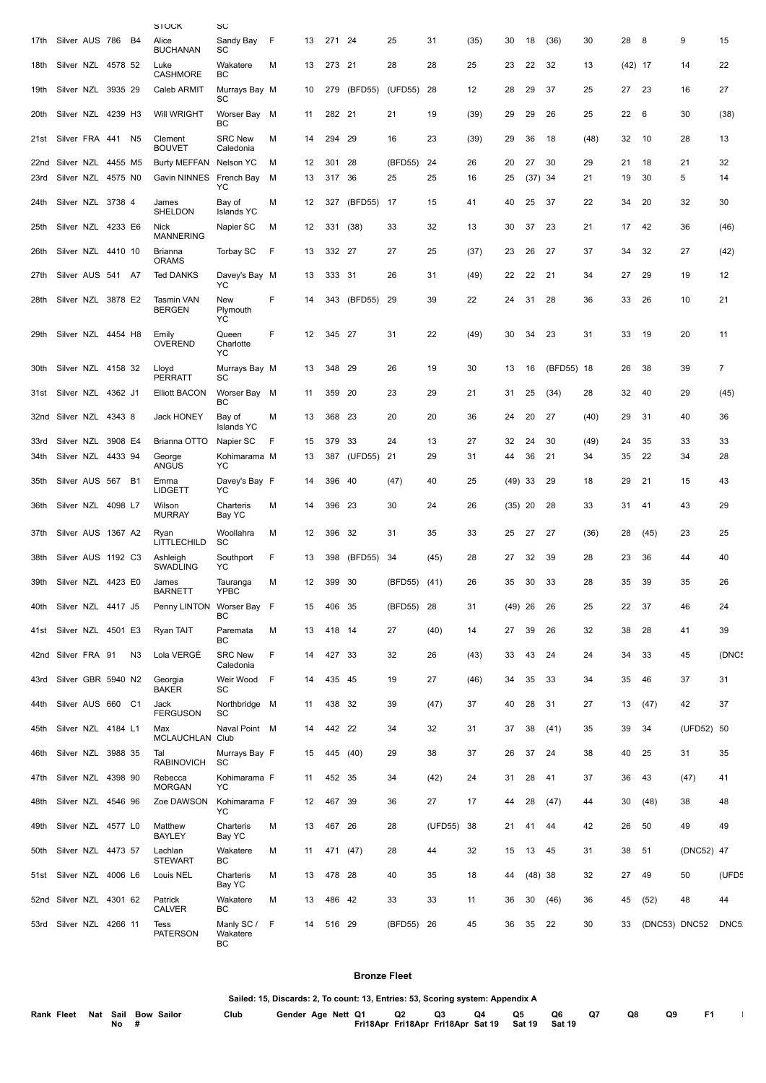|      |                    |         |                | STOCK                       | SU                          |   |    |        |             |            |         |      |           |           |            |      |           |               |            |       |
|------|--------------------|---------|----------------|-----------------------------|-----------------------------|---|----|--------|-------------|------------|---------|------|-----------|-----------|------------|------|-----------|---------------|------------|-------|
| 17th | Silver AUS 786     |         | B4             | Alice<br><b>BUCHANAN</b>    | Sandy Bay<br>SC             | F | 13 | 271 24 |             | 25         | 31      | (35) | 30        | 18        | (36)       | 30   | 28        | 8             | 9          | 15    |
| 18th | Silver NZL 4578 52 |         |                | Luke<br>CASHMORE            | Wakatere<br>BC              | М | 13 | 273 21 |             | 28         | 28      | 25   | 23        | 22        | 32         | 13   | $(42)$ 17 |               | 14         | 22    |
| 19th | Silver NZL         | 3935 29 |                | Caleb ARMIT                 | Murrays Bay M<br>SC         |   | 10 | 279    | (BFD55)     | (UFD55)    | -28     | 12   | 28        | 29        | 37         | 25   | 27        | 23            | 16         | 27    |
| 20th | Silver NZL 4239 H3 |         |                | Will WRIGHT                 | Worser Bay<br>ВC            | м | 11 | 282 21 |             | 21         | 19      | (39) | 29        | 29        | 26         | 25   | 22        | 6             | 30         | (38)  |
| 21st | Silver FRA 441 N5  |         |                | Clement<br><b>BOUVET</b>    | <b>SRC New</b><br>Caledonia | М | 14 | 294 29 |             | 16         | 23      | (39) | 29        | 36        | 18         | (48) | 32        | 10            | 28         | 13    |
| 22nd | Silver NZL 4455 M5 |         |                | Burty MEFFAN                | Nelson YC                   | м | 12 | 301    | 28          | (BFD55)    | 24      | 26   | 20        | 27        | 30         | 29   | 21        | 18            | 21         | 32    |
| 23rd | Silver NZL 4575 N0 |         |                | Gavin NINNES French Bay     | YC                          | м | 13 | 317 36 |             | 25         | 25      | 16   | 25        | $(37)$ 34 |            | 21   | 19        | 30            | 5          | 14    |
| 24th | Silver NZL 3738 4  |         |                | James<br>SHELDON            | Bay of<br><b>Islands YC</b> | М | 12 | 327    | (BFD55)     | - 17       | 15      | 41   | 40        | 25        | 37         | 22   | 34        | 20            | 32         | 30    |
| 25th | Silver NZL 4233 E6 |         |                | Nick<br><b>MANNERING</b>    | Napier SC                   | М | 12 |        | 331 (38)    | 33         | 32      | 13   | 30        | 37        | 23         | 21   | 17        | 42            | 36         | (46)  |
| 26th | Silver NZL 4410 10 |         |                | Brianna<br><b>ORAMS</b>     | <b>Torbay SC</b>            | F | 13 | 332 27 |             | 27         | 25      | (37) | 23        | 26        | 27         | 37   | 34        | 32            | 27         | (42)  |
| 27th | Silver AUS 541 A7  |         |                | <b>Ted DANKS</b>            | Davey's Bay M<br>YC         |   | 13 | 333    | 31          | 26         | 31      | (49) | 22        | 22        | 21         | 34   | 27        | 29            | 19         | 12    |
| 28th | Silver NZL 3878 E2 |         |                | Tasmin VAN<br><b>BERGEN</b> | New<br>Plymouth<br>YC       | F | 14 |        | 343 (BFD55) | 29         | 39      | 22   | 24        | 31        | 28         | 36   | 33        | 26            | 10         | 21    |
| 29th | Silver NZL 4454 H8 |         |                | Emily<br><b>OVEREND</b>     | Queen<br>Charlotte<br>YC    | F | 12 | 345 27 |             | 31         | 22      | (49) | 30        | 34        | 23         | 31   | 33        | 19            | 20         | 11    |
| 30th | Silver NZL 4158 32 |         |                | Lloyd<br><b>PERRATT</b>     | Murrays Bay M<br>SC         |   | 13 | 348    | -29         | 26         | 19      | 30   | 13        | 16        | (BFD55) 18 |      | 26        | 38            | 39         | 7     |
| 31st | Silver NZL 4362 J1 |         |                | <b>Elliott BACON</b>        | Worser Bay<br>BC            | M | 11 | 359    | -20         | 23         | 29      | 21   | 31        | 25        | (34)       | 28   | 32        | 40            | 29         | (45)  |
| 32nd | Silver NZL 4343 8  |         |                | <b>Jack HONEY</b>           | Bay of<br><b>Islands YC</b> | м | 13 | 368 23 |             | 20         | 20      | 36   | 24        | 20        | 27         | (40) | 29        | 31            | 40         | 36    |
| 33rd | Silver NZL         | 3908 E4 |                | Brianna OTTO                | Napier SC                   | F | 15 | 379    | 33          | 24         | 13      | 27   | 32        | 24        | 30         | (49) | 24        | 35            | 33         | 33    |
| 34th | Silver NZL 4433 94 |         |                | George<br><b>ANGUS</b>      | Kohimarama M<br>YC          |   | 13 | 387    | (UFD55)     | - 21       | 29      | 31   | 44        | 36        | 21         | 34   | 35        | 22            | 34         | 28    |
| 35th | Silver AUS 567 B1  |         |                | Emma<br><b>LIDGETT</b>      | Davey's Bay F<br>YC         |   | 14 | 396    | -40         | (47)       | 40      | 25   | $(49)$ 33 |           | 29         | 18   | 29        | 21            | 15         | 43    |
| 36th | Silver NZL 4098 L7 |         |                | Wilson<br><b>MURRAY</b>     | Charteris<br>Bay YC         | М | 14 | 396 23 |             | 30         | 24      | 26   | $(35)$ 20 |           | 28         | 33   | 31        | 41            | 43         | 29    |
| 37th | Silver AUS 1367 A2 |         |                | Ryan<br>LITTLECHILD         | Woollahra<br>SC             | м | 12 | 396    | -32         | 31         | 35      | 33   | 25        | 27        | 27         | (36) | 28        | (45)          | 23         | 25    |
| 38th | Silver AUS 1192 C3 |         |                | Ashleigh<br><b>SWADLING</b> | Southport<br>YC             | F | 13 | 398    | (BFD55)     | 34         | (45)    | 28   | 27        | 32        | 39         | 28   | 23        | 36            | 44         | 40    |
| 39th | Silver NZL 4423 E0 |         |                | James<br><b>BARNETT</b>     | Tauranga<br>YPBC            | М | 12 | 399 30 |             | (BFD55)    | (41)    | 26   | 35        | 30        | 33         | 28   | 35        | 39            | 35         | 26    |
| 40th | Silver NZL 4417 J5 |         |                | Penny LINTON Worser Bay F   | BC                          |   | 15 | 406 35 |             | (BFD55) 28 |         | 31   | $(49)$ 26 |           | 26         | 25   | 22        | 37            | 46         | 24    |
| 41st | Silver NZL 4501 E3 |         |                | Ryan TAIT                   | Paremata<br>ВC              | м | 13 | 418 14 |             | 27         | (40)    | 14   | 27        | 39        | 26         | 32   | 38        | 28            | 41         | 39    |
|      | 42nd Silver FRA 91 |         | N <sub>3</sub> | Lola VERGÉ                  | <b>SRC New</b><br>Caledonia | F | 14 | 427 33 |             | 32         | 26      | (43) | 33        | 43        | 24         | 24   | 34        | 33            | 45         | (DNC! |
| 43rd | Silver GBR 5940 N2 |         |                | Georgia<br><b>BAKER</b>     | Weir Wood<br>SC             | F | 14 | 435 45 |             | 19         | 27      | (46) | 34        | 35        | 33         | 34   | 35        | 46            | 37         | 31    |
| 44th | Silver AUS 660 C1  |         |                | Jack<br><b>FERGUSON</b>     | Northbridge M<br>SC         |   | 11 | 438 32 |             | 39         | (47)    | 37   | 40        | 28        | 31         | 27   | 13        | (47)          | 42         | 37    |
| 45th | Silver NZL 4184 L1 |         |                | Max<br><b>MCLAUCHLAN</b>    | Naval Point M<br>Club       |   | 14 | 442 22 |             | 34         | 32      | 31   | 37        | 38        | (41)       | 35   | 39        | 34            | (UFD52) 50 |       |
| 46th | Silver NZL 3988 35 |         |                | Tal<br><b>RABINOVICH</b>    | Murrays Bay F<br>SC         |   | 15 |        | 445 (40)    | 29         | 38      | 37   | 26        | 37        | 24         | 38   | 40        | 25            | 31         | 35    |
| 47th | Silver NZL 4398 90 |         |                | Rebecca<br><b>MORGAN</b>    | Kohimarama F<br>YC          |   | 11 | 452 35 |             | 34         | (42)    | 24   | 31        | 28        | 41         | 37   | 36        | 43            | (47)       | 41    |
| 48th | Silver NZL 4546 96 |         |                | Zoe DAWSON                  | Kohimarama F<br>YC          |   | 12 | 467 39 |             | 36         | 27      | 17   | 44        | 28        | (47)       | 44   | 30        | (48)          | 38         | 48    |
| 49th | Silver NZL 4577 L0 |         |                | Matthew<br><b>BAYLEY</b>    | Charteris<br>Bay YC         | M | 13 | 467 26 |             | 28         | (UFD55) | 38   | 21        | 41        | 44         | 42   | 26        | 50            | 49         | 49    |
| 50th | Silver NZL 4473 57 |         |                | Lachlan<br><b>STEWART</b>   | Wakatere<br>ВC              | М | 11 |        | 471 (47)    | 28         | 44      | 32   | 15        | 13        | 45         | 31   | 38        | 51            | (DNC52) 47 |       |
| 51st | Silver NZL 4006 L6 |         |                | Louis NEL                   | Charteris<br>Bay YC         | М | 13 | 478 28 |             | 40         | 35      | 18   | 44        | $(48)$ 38 |            | 32   | 27        | 49            | 50         | (UFD5 |
| 52nd | Silver NZL 4301 62 |         |                | Patrick<br><b>CALVER</b>    | Wakatere<br>ВC              | М | 13 | 486 42 |             | 33         | 33      | 11   | 36        | 30        | (46)       | 36   | 45        | (52)          | 48         | 44    |
| 53rd | Silver NZL 4266 11 |         |                | Tess<br><b>PATERSON</b>     | Manly SC/<br>Wakatere<br>ВC | F | 14 | 516 29 |             | (BFD55) 26 |         | 45   | 36        | 35        | 22         | 30   | 33        | (DNC53) DNC52 |            | DNC5  |

#### **Bronze Fleet**

**Sailed: 15, Discards: 2, To count: 13, Entries: 53, Scoring system: Appendix A**

| Rank Fleet Nat Sail Bow Sailor | No | Club | Gender Age Nett Q1 |  | Fri18Apr Fri18Apr Fri18Apr Sat 19 Sat 19 | Q2 | Q3 | Q4 | Q5 | Q6<br>Sat 19 | <b>Q7</b> | Q8 | Q9 |  |
|--------------------------------|----|------|--------------------|--|------------------------------------------|----|----|----|----|--------------|-----------|----|----|--|
|                                |    |      |                    |  |                                          |    |    |    |    |              |           |    |    |  |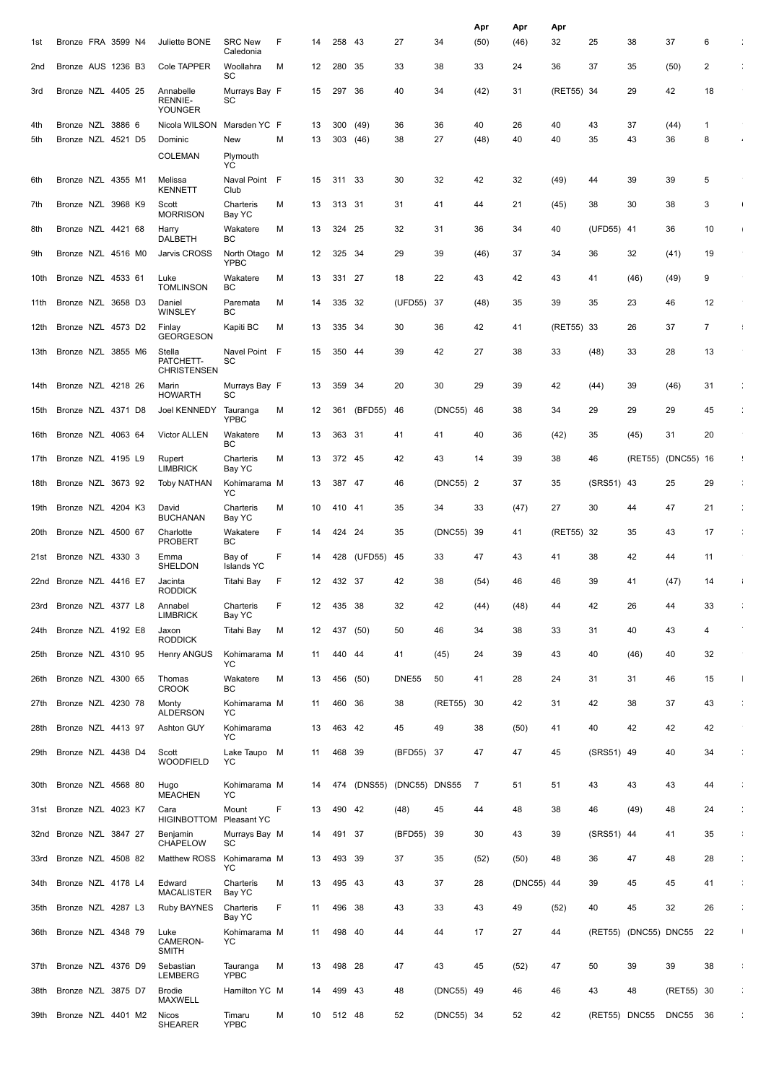|                 |                    |  |                                               |                             |   |    |          |         |               |            | Apr  | Apr        | Apr        |               |               |            |                |                       |
|-----------------|--------------------|--|-----------------------------------------------|-----------------------------|---|----|----------|---------|---------------|------------|------|------------|------------|---------------|---------------|------------|----------------|-----------------------|
| 1st             | Bronze FRA 3599 N4 |  | Juliette BONE                                 | <b>SRC New</b><br>Caledonia | F | 14 | 258      | - 43    | 27            | 34         | (50) | (46)       | 32         | 25            | 38            | 37         | 6              |                       |
| 2 <sub>nd</sub> | Bronze AUS 1236 B3 |  | Cole TAPPER                                   | Woollahra<br>SC             | м | 12 | 280 35   |         | 33            | 38         | 33   | 24         | 36         | 37            | 35            | (50)       | 2              |                       |
| 3rd             | Bronze NZL 4405 25 |  | Annabelle<br><b>RENNIE-</b><br><b>YOUNGER</b> | Murrays Bay F<br>SC         |   | 15 | 297      | -36     | 40            | 34         | (42) | 31         | (RET55) 34 |               | 29            | 42         | 18             |                       |
| 4th             | Bronze NZL 3886 6  |  | Nicola WILSON                                 | Marsden YC F                |   | 13 | 300      | (49)    | 36            | 36         | 40   | 26         | 40         | 43            | 37            | (44)       | $\mathbf{1}$   |                       |
| 5th             | Bronze NZL 4521 D5 |  | Dominic                                       | New                         | M | 13 | 303 (46) |         | 38            | 27         | (48) | 40         | 40         | 35            | 43            | 36         | 8              |                       |
|                 |                    |  | <b>COLEMAN</b>                                | Plymouth                    |   |    |          |         |               |            |      |            |            |               |               |            |                |                       |
| 6th             | Bronze NZL 4355 M1 |  | Melissa                                       | YC<br>Naval Point F         |   | 15 | 311 33   |         | 30            | 32         | 42   | 32         | (49)       | 44            | 39            | 39         | 5              |                       |
|                 |                    |  | <b>KENNETT</b>                                | Club                        |   |    |          |         |               |            |      |            |            |               |               |            |                |                       |
| 7th             | Bronze NZL 3968 K9 |  | Scott<br><b>MORRISON</b>                      | Charteris<br>Bay YC         | M | 13 | 313 31   |         | 31            | 41         | 44   | 21         | (45)       | 38            | 30            | 38         | 3              |                       |
| 8th             | Bronze NZL 4421 68 |  | Harry<br>DALBETH                              | Wakatere<br>ВC              | M | 13 | 324      | 25      | 32            | 31         | 36   | 34         | 40         | (UFD55) 41    |               | 36         | 10             |                       |
| 9th             | Bronze NZL 4516 M0 |  | Jarvis CROSS                                  | North Otago M<br>YPBC       |   | 12 | 325      | -34     | 29            | 39         | (46) | 37         | 34         | 36            | 32            | (41)       | 19             |                       |
| 10th            | Bronze NZL 4533 61 |  | Luke<br><b>TOMLINSON</b>                      | Wakatere<br>BС              | M | 13 | 331      | - 27    | 18            | 22         | 43   | 42         | 43         | 41            | (46)          | (49)       | 9              |                       |
| 11th            | Bronze NZL 3658 D3 |  | Daniel<br>WINSLEY                             | Paremata<br>ВC              | м | 14 | 335      | -32     | (UFD55)       | -37        | (48) | 35         | 39         | 35            | 23            | 46         | 12             |                       |
| 12th            | Bronze NZL 4573 D2 |  | Finlay                                        | Kapiti BC                   | M | 13 | 335 34   |         | 30            | 36         | 42   | 41         | (RET55) 33 |               | 26            | 37         | $\overline{7}$ |                       |
| 13th            | Bronze NZL 3855 M6 |  | <b>GEORGESON</b><br>Stella                    | Navel Point F               |   | 15 | 350 44   |         | 39            | 42         | 27   | 38         | 33         | (48)          | 33            | 28         | 13             |                       |
|                 |                    |  | PATCHETT-<br><b>CHRISTENSEN</b>               | SC                          |   |    |          |         |               |            |      |            |            |               |               |            |                |                       |
| 14th            | Bronze NZL 4218 26 |  | Marin<br><b>HOWARTH</b>                       | Murrays Bay F<br>SC         |   | 13 | 359      | -34     | 20            | 30         | 29   | 39         | 42         | (44)          | 39            | (46)       | 31             |                       |
| 15th            | Bronze NZL 4371 D8 |  | Joel KENNEDY                                  | Tauranga<br><b>YPBC</b>     | М | 12 | 361      | (BFD55) | 46            | (DNC55)    | 46   | 38         | 34         | 29            | 29            | 29         | 45             |                       |
| 16th            | Bronze NZL 4063 64 |  | Victor ALLEN                                  | Wakatere<br>ВC              | M | 13 | 363 31   |         | 41            | 41         | 40   | 36         | (42)       | 35            | (45)          | 31         | 20             |                       |
| 17th            | Bronze NZL 4195 L9 |  | Rupert<br><b>LIMBRICK</b>                     | Charteris<br>Bay YC         | M | 13 | 372 45   |         | 42            | 43         | 14   | 39         | 38         | 46            | (RET55)       | (DNC55) 16 |                | ÷                     |
| 18th            | Bronze NZL 3673 92 |  | <b>Toby NATHAN</b>                            | Kohimarama M<br>YC          |   | 13 | 387 47   |         | 46            | (DNC55) 2  |      | 37         | 35         | (SRS51) 43    |               | 25         | 29             |                       |
| 19th            | Bronze NZL 4204 K3 |  | David<br><b>BUCHANAN</b>                      | Charteris<br>Bay YC         | М | 10 | 410      | - 41    | 35            | 34         | 33   | (47)       | 27         | 30            | 44            | 47         | 21             |                       |
| 20th            | Bronze NZL 4500 67 |  | Charlotte<br><b>PROBERT</b>                   | Wakatere<br>BС              | F | 14 | 424      | 24      | 35            | (DNC55)    | 39   | 41         | (RET55)    | -32           | 35            | 43         | 17             |                       |
| 21st            | Bronze NZL 4330 3  |  | Emma<br>SHELDON                               | Bay of<br><b>Islands YC</b> | F | 14 | 428      | (UFD55) | 45            | 33         | 47   | 43         | 41         | 38            | 42            | 44         | 11             |                       |
| 22nd            | Bronze NZL 4416 E7 |  | Jacinta<br><b>RODDICK</b>                     | Titahi Bay                  | F | 12 | 432 37   |         | 42            | 38         | (54) | 46         | 46         | 39            | 41            | (47)       | 14             |                       |
| 23rd            | Bronze NZL 4377 L8 |  | Annabel                                       | Charteris                   | F | 12 | 435 38   |         | 32            | 42         | (44) | (48)       | 44         | 42            | 26            | 44         | 33             |                       |
| 24th            | Bronze NZL 4192 E8 |  | <b>LIMBRICK</b><br>Jaxon                      | Bay YC<br>Titahi Bay        | М | 12 | 437 (50) |         | 50            | 46         | 34   | 38         | 33         | 31            | 40            | 43         | 4              |                       |
| 25th            | Bronze NZL 4310 95 |  | <b>RODDICK</b><br>Henry ANGUS                 | Kohimarama M                |   | 11 | 440 44   |         | 41            | (45)       | 24   | 39         | 43         | 40            | (46)          | 40         | 32             |                       |
| 26th            | Bronze NZL 4300 65 |  | Thomas                                        | YC<br>Wakatere              | м | 13 | 456      | (50)    | <b>DNE55</b>  | 50         | 41   | 28         | 24         | 31            | 31            | 46         | 15             |                       |
| 27th            | Bronze NZL 4230 78 |  | <b>CROOK</b><br>Monty                         | BС<br>Kohimarama M          |   | 11 | 460 36   |         | 38            | (RET55)    | 30   | 42         | 31         | 42            | 38            | 37         | 43             | ÷                     |
| 28th            | Bronze NZL 4413 97 |  | <b>ALDERSON</b><br>Ashton GUY                 | YC<br>Kohimarama            |   | 13 | 463 42   |         | 45            | 49         | 38   | (50)       | 41         | 40            | 42            | 42         | 42             |                       |
| 29th            | Bronze NZL 4438 D4 |  | Scott                                         | YC<br>Lake Taupo M          |   | 11 | 468 39   |         | (BFD55) 37    |            | 47   | 47         | 45         | (SRS51) 49    |               | 40         | 34             |                       |
|                 |                    |  | <b>WOODFIELD</b>                              | YC.                         |   |    |          |         |               |            |      |            |            |               |               |            |                |                       |
| 30th            | Bronze NZL 4568 80 |  | Hugo<br><b>MEACHEN</b>                        | Kohimarama M<br>YC          |   | 14 | 474      | (DNS55) | (DNC55) DNS55 |            | 7    | 51         | 51         | 43            | 43            | 43         | 44             | ÷                     |
| 31st            | Bronze NZL 4023 K7 |  | Cara<br><b>HIGINBOTTOM</b>                    | Mount<br><b>Pleasant YC</b> | F | 13 | 490 42   |         | (48)          | 45         | 44   | 48         | 38         | 46            | (49)          | 48         | 24             | ÷                     |
| 32nd            | Bronze NZL 3847 27 |  | Benjamin<br>CHAPELOW                          | Murrays Bay M<br>SC         |   | 14 | 491      | -37     | (BFD55)       | 39         | 30   | 43         | 39         | (SRS51) 44    |               | 41         | 35             | ÷                     |
| 33rd            | Bronze NZL 4508 82 |  | Matthew ROSS                                  | Kohimarama M<br>YC          |   | 13 | 493 39   |         | 37            | 35         | (52) | (50)       | 48         | 36            | 47            | 48         | 28             | ÷                     |
| 34th            | Bronze NZL 4178 L4 |  | Edward<br><b>MACALISTER</b>                   | Charteris                   | M | 13 | 495 43   |         | 43            | 37         | 28   | (DNC55) 44 |            | 39            | 45            | 45         | 41             |                       |
| 35th            | Bronze NZL 4287 L3 |  | Ruby BAYNES                                   | Bay YC<br>Charteris         | F | 11 | 496 38   |         | 43            | 33         | 43   | 49         | (52)       | 40            | 45            | 32         | 26             | ÷                     |
| 36th            | Bronze NZL 4348 79 |  | Luke                                          | Bay YC<br>Kohimarama M      |   | 11 | 498 40   |         | 44            | 44         | 17   | 27         | 44         | (RET55)       | (DNC55) DNC55 |            | 22             | $\mathbb{L}$          |
|                 |                    |  | CAMERON-<br><b>SMITH</b>                      | YC.                         |   |    |          |         |               |            |      |            |            |               |               |            |                |                       |
| 37th            | Bronze NZL 4376 D9 |  | Sebastian<br><b>LEMBERG</b>                   | Tauranga<br><b>YPBC</b>     | М | 13 | 498      | - 28    | 47            | 43         | 45   | (52)       | 47         | 50            | 39            | 39         | 38             | $\frac{1}{4}$         |
| 38th            | Bronze NZL 3875 D7 |  | <b>Brodie</b><br>MAXWELL                      | Hamilton YC M               |   | 14 | 499 43   |         | 48            | (DNC55) 49 |      | 46         | 46         | 43            | 48            | (RET55) 30 |                |                       |
| 39th            | Bronze NZL 4401 M2 |  | Nicos<br><b>SHEARER</b>                       | Timaru<br>YPBC              | M | 10 | 512 48   |         | 52            | (DNC55) 34 |      | 52         | 42         | (RET55) DNC55 |               | DNC55 36   |                | $\mathbb{C}^{\times}$ |